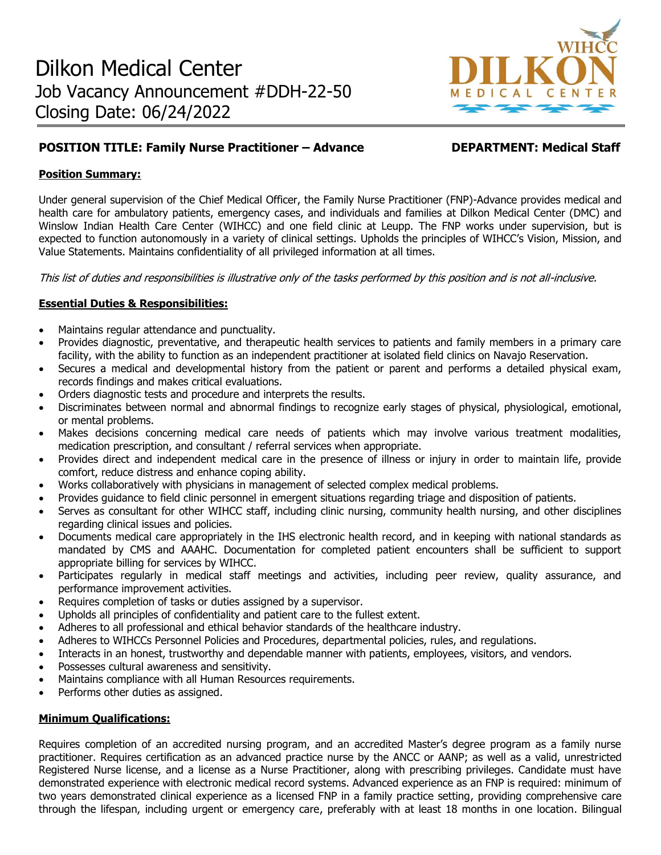

# **POSITION TITLE: Family Nurse Practitioner – Advance DEPARTMENT: Medical Staff**

# **Position Summary:**

Under general supervision of the Chief Medical Officer, the Family Nurse Practitioner (FNP)-Advance provides medical and health care for ambulatory patients, emergency cases, and individuals and families at Dilkon Medical Center (DMC) and Winslow Indian Health Care Center (WIHCC) and one field clinic at Leupp. The FNP works under supervision, but is expected to function autonomously in a variety of clinical settings. Upholds the principles of WIHCC's Vision, Mission, and Value Statements. Maintains confidentiality of all privileged information at all times.

This list of duties and responsibilities is illustrative only of the tasks performed by this position and is not all-inclusive.

# **Essential Duties & Responsibilities:**

- Maintains regular attendance and punctuality.
- Provides diagnostic, preventative, and therapeutic health services to patients and family members in a primary care facility, with the ability to function as an independent practitioner at isolated field clinics on Navajo Reservation.
- Secures a medical and developmental history from the patient or parent and performs a detailed physical exam, records findings and makes critical evaluations.
- Orders diagnostic tests and procedure and interprets the results.
- Discriminates between normal and abnormal findings to recognize early stages of physical, physiological, emotional, or mental problems.
- Makes decisions concerning medical care needs of patients which may involve various treatment modalities, medication prescription, and consultant / referral services when appropriate.
- Provides direct and independent medical care in the presence of illness or injury in order to maintain life, provide comfort, reduce distress and enhance coping ability.
- Works collaboratively with physicians in management of selected complex medical problems.
- Provides guidance to field clinic personnel in emergent situations regarding triage and disposition of patients.
- Serves as consultant for other WIHCC staff, including clinic nursing, community health nursing, and other disciplines regarding clinical issues and policies.
- Documents medical care appropriately in the IHS electronic health record, and in keeping with national standards as mandated by CMS and AAAHC. Documentation for completed patient encounters shall be sufficient to support appropriate billing for services by WIHCC.
- Participates regularly in medical staff meetings and activities, including peer review, quality assurance, and performance improvement activities.
- Requires completion of tasks or duties assigned by a supervisor.
- Upholds all principles of confidentiality and patient care to the fullest extent.
- Adheres to all professional and ethical behavior standards of the healthcare industry.
- Adheres to WIHCCs Personnel Policies and Procedures, departmental policies, rules, and regulations.
- Interacts in an honest, trustworthy and dependable manner with patients, employees, visitors, and vendors.
- Possesses cultural awareness and sensitivity.
- Maintains compliance with all Human Resources requirements.
- Performs other duties as assigned.

### **Minimum Qualifications:**

Requires completion of an accredited nursing program, and an accredited Master's degree program as a family nurse practitioner. Requires certification as an advanced practice nurse by the ANCC or AANP; as well as a valid, unrestricted Registered Nurse license, and a license as a Nurse Practitioner, along with prescribing privileges. Candidate must have demonstrated experience with electronic medical record systems. Advanced experience as an FNP is required: minimum of two years demonstrated clinical experience as a licensed FNP in a family practice setting, providing comprehensive care through the lifespan, including urgent or emergency care, preferably with at least 18 months in one location. Bilingual